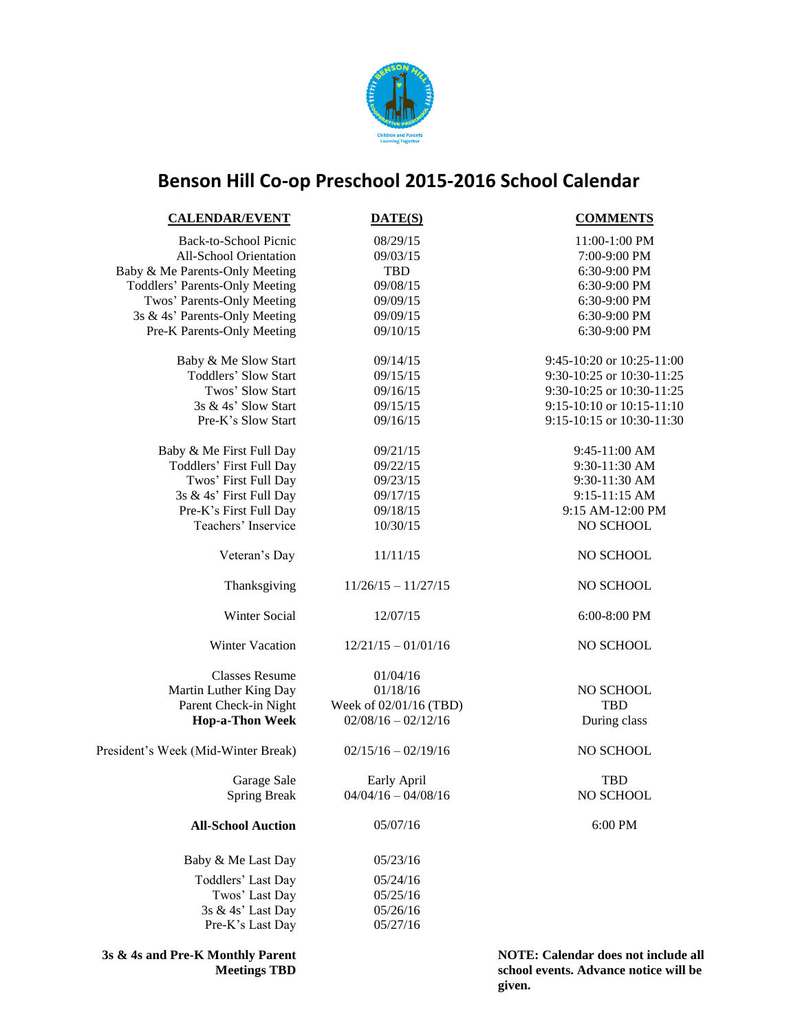

## **Benson Hill Co-op Preschool 2015-2016 School Calendar**

| <b>CALENDAR/EVENT</b>                 | DATE(S)                | <b>COMMENTS</b>                 |
|---------------------------------------|------------------------|---------------------------------|
| <b>Back-to-School Picnic</b>          | 08/29/15               | 11:00-1:00 PM                   |
| All-School Orientation                | 09/03/15               | 7:00-9:00 PM                    |
| Baby & Me Parents-Only Meeting        | <b>TBD</b>             | 6:30-9:00 PM                    |
| <b>Toddlers' Parents-Only Meeting</b> | 09/08/15               | 6:30-9:00 PM                    |
| Twos' Parents-Only Meeting            | 09/09/15               | 6:30-9:00 PM                    |
| 3s & 4s' Parents-Only Meeting         | 09/09/15               | 6:30-9:00 PM                    |
| Pre-K Parents-Only Meeting            | 09/10/15               | 6:30-9:00 PM                    |
| Baby & Me Slow Start                  | 09/14/15               | 9:45-10:20 or 10:25-11:00       |
| <b>Toddlers' Slow Start</b>           | 09/15/15               | 9:30-10:25 or 10:30-11:25       |
| Twos' Slow Start                      | 09/16/15               | 9:30-10:25 or 10:30-11:25       |
| 3s & 4s' Slow Start                   | 09/15/15               | 9:15-10:10 or 10:15-11:10       |
| Pre-K's Slow Start                    | 09/16/15               | 9:15-10:15 or 10:30-11:30       |
| Baby & Me First Full Day              | 09/21/15               | 9:45-11:00 AM                   |
| <b>Toddlers' First Full Day</b>       | 09/22/15               | 9:30-11:30 AM                   |
| Twos' First Full Day                  | 09/23/15               | 9:30-11:30 AM                   |
| 3s & 4s' First Full Day               | 09/17/15               | 9:15-11:15 AM                   |
| Pre-K's First Full Day                | 09/18/15               | 9:15 AM-12:00 PM                |
| Teachers' Inservice                   | 10/30/15               | NO SCHOOL                       |
| Veteran's Day                         | 11/11/15               | NO SCHOOL                       |
| Thanksgiving                          | $11/26/15 - 11/27/15$  | NO SCHOOL                       |
| Winter Social                         | 12/07/15               | 6:00-8:00 PM                    |
| Winter Vacation                       | $12/21/15 - 01/01/16$  | NO SCHOOL                       |
| <b>Classes Resume</b>                 | 01/04/16               |                                 |
| Martin Luther King Day                | 01/18/16               | NO SCHOOL                       |
| Parent Check-in Night                 | Week of 02/01/16 (TBD) | <b>TBD</b>                      |
| <b>Hop-a-Thon Week</b>                | $02/08/16 - 02/12/16$  | During class                    |
| President's Week (Mid-Winter Break)   | $02/15/16 - 02/19/16$  | NO SCHOOL                       |
| Garage Sale                           | Early April            | <b>TBD</b>                      |
| <b>Spring Break</b>                   | $04/04/16 - 04/08/16$  | NO SCHOOL                       |
| <b>All-School Auction</b>             | 05/07/16               | 6:00 PM                         |
| Baby & Me Last Day                    | 05/23/16               |                                 |
| Toddlers' Last Day                    | 05/24/16               |                                 |
| Twos' Last Day                        | 05/25/16               |                                 |
| 3s & 4s' Last Day                     | 05/26/16               |                                 |
| Pre-K's Last Day                      | 05/27/16               |                                 |
| 2. 8. 4. and Dra K Monthly Doront     |                        | MOTE, Colondor doos not includ. |

**3s & 4s and Pre-K Monthly Parent Meetings TBD** **NOTE: Calendar does not include all school events. Advance notice will be given.**